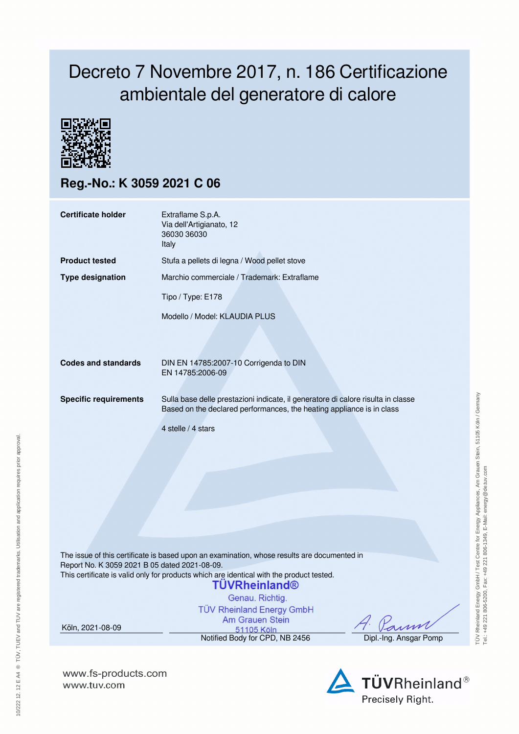## Decreto 7 Novembre 2017, n. 186 Certificazione ambientale del generatore di calore



**Reg.-No.: K 3059 2021 C 06**

| <b>Certificate holder</b>    | Extraflame S.p.A.<br>Via dell'Artigianato, 12<br>36030 36030<br>Italy                                                                                     |  |  |  |  |
|------------------------------|-----------------------------------------------------------------------------------------------------------------------------------------------------------|--|--|--|--|
| <b>Product tested</b>        | Stufa a pellets di legna / Wood pellet stove                                                                                                              |  |  |  |  |
| <b>Type designation</b>      | Marchio commerciale / Trademark: Extraflame                                                                                                               |  |  |  |  |
|                              | Tipo / Type: E178                                                                                                                                         |  |  |  |  |
|                              | Modello / Model: KLAUDIA PLUS                                                                                                                             |  |  |  |  |
|                              |                                                                                                                                                           |  |  |  |  |
| <b>Codes and standards</b>   | DIN EN 14785:2007-10 Corrigenda to DIN<br>EN 14785:2006-09                                                                                                |  |  |  |  |
| <b>Specific requirements</b> | Sulla base delle prestazioni indicate, il generatore di calore risulta in classe<br>Based on the declared performances, the heating appliance is in class |  |  |  |  |
|                              | 4 stelle / 4 stars                                                                                                                                        |  |  |  |  |
|                              |                                                                                                                                                           |  |  |  |  |
|                              |                                                                                                                                                           |  |  |  |  |
|                              |                                                                                                                                                           |  |  |  |  |
|                              |                                                                                                                                                           |  |  |  |  |
|                              |                                                                                                                                                           |  |  |  |  |
|                              |                                                                                                                                                           |  |  |  |  |
|                              | The issue of this certificate is based upon an examination, whose results are documented in                                                               |  |  |  |  |

Report No. K 3059 2021 B 05 dated 2021-08-09. This certificate is valid only for products which are identical with the product tested.

## **TUVRheinland®**

Genau, Richtig.

**TÜV Rheinland Energy GmbH** Am Grauen Stein

rrn.

TÜV Rheinland Energy GmbH / Test Centre for Energy Appliances, Am Grauen Stein, 51105 Köln / Germany

TÜV Rheinland Energy GmbH / Test Centre for Energy Appliances, Am Grauen Stein, 51105 Köln / Germany<br>Tel: .+49 221 806-5200, Fax: +49 221 806-1349, E-Mail: energy@de.tuv.com

Tel.: +49 221 806-5200, Fax: +49 221 806-1349, E-Mail: energy@de.tuv.com

Example 2456 Motified Body for CPD, NB 2456 Dipl.-Ing. Ansgar Pomp

**www.fs-products.com** www.tuv.com

Köln, 2021-08-09